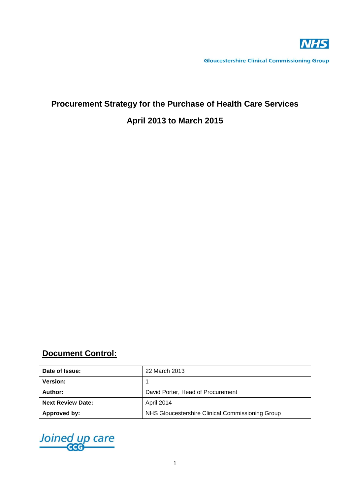

**Gloucestershire Clinical Commissioning Group** 

# **Procurement Strategy for the Purchase of Health Care Services April 2013 to March 2015**

## **Document Control:**

| Date of Issue:           | 22 March 2013                                    |  |
|--------------------------|--------------------------------------------------|--|
| <b>Version:</b>          |                                                  |  |
| Author:                  | David Porter, Head of Procurement                |  |
| <b>Next Review Date:</b> | April 2014                                       |  |
| Approved by:             | NHS Gloucestershire Clinical Commissioning Group |  |

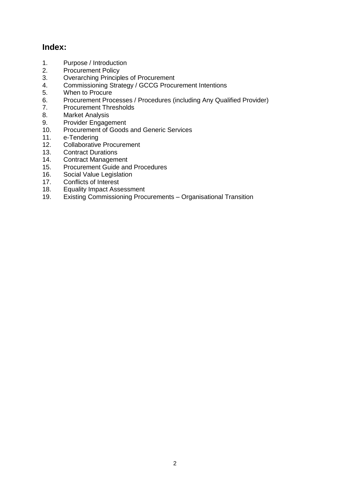### **Index:**

- 1. Purpose / Introduction
- 2. Procurement Policy
- 3. Overarching Principles of Procurement
- 4. Commissioning Strategy / GCCG Procurement Intentions
- 5. When to Procure<br>6. Procurement Proc
- 6. Procurement Processes / Procedures (including Any Qualified Provider)
- 7. Procurement Thresholds<br>8. Market Analysis
- **Market Analysis**
- 9. Provider Engagement
- 10. Procurement of Goods and Generic Services
- 11. e-Tendering
- 12. Collaborative Procurement
- 13. Contract Durations<br>14. Contract Managem
- **Contract Management**
- 15. Procurement Guide and Procedures
- 16. Social Value Legislation
- 17. Conflicts of Interest
- 18. Equality Impact Assessment
- 19. Existing Commissioning Procurements Organisational Transition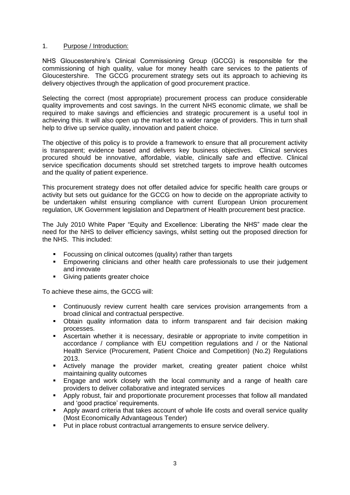#### 1. Purpose / Introduction:

NHS Gloucestershire's Clinical Commissioning Group (GCCG) is responsible for the commissioning of high quality, value for money health care services to the patients of Gloucestershire. The GCCG procurement strategy sets out its approach to achieving its delivery objectives through the application of good procurement practice.

Selecting the correct (most appropriate) procurement process can produce considerable quality improvements and cost savings. In the current NHS economic climate, we shall be required to make savings and efficiencies and strategic procurement is a useful tool in achieving this. It will also open up the market to a wider range of providers. This in turn shall help to drive up service quality, innovation and patient choice.

The objective of this policy is to provide a framework to ensure that all procurement activity is transparent; evidence based and delivers key business objectives. Clinical services procured should be innovative, affordable, viable, clinically safe and effective. Clinical service specification documents should set stretched targets to improve health outcomes and the quality of patient experience.

This procurement strategy does not offer detailed advice for specific health care groups or activity but sets out guidance for the GCCG on how to decide on the appropriate activity to be undertaken whilst ensuring compliance with current European Union procurement regulation, UK Government legislation and Department of Health procurement best practice.

The July 2010 White Paper "Equity and Excellence: Liberating the NHS" made clear the need for the NHS to deliver efficiency savings, whilst setting out the proposed direction for the NHS. This included:

- **Focussing on clinical outcomes (quality) rather than targets**
- Empowering clinicians and other health care professionals to use their judgement and innovate
- **Giving patients greater choice**

To achieve these aims, the GCCG will:

- Continuously review current health care services provision arrangements from a broad clinical and contractual perspective.
- Obtain quality information data to inform transparent and fair decision making processes.
- Ascertain whether it is necessary, desirable or appropriate to invite competition in accordance / compliance with EU competition regulations and / or the National Health Service (Procurement, Patient Choice and Competition) (No.2) Regulations 2013.
- **E** Actively manage the provider market, creating greater patient choice whilst maintaining quality outcomes
- Engage and work closely with the local community and a range of health care providers to deliver collaborative and integrated services
- Apply robust, fair and proportionate procurement processes that follow all mandated and 'good practice' requirements.
- Apply award criteria that takes account of whole life costs and overall service quality (Most Economically Advantageous Tender)
- **Put in place robust contractual arrangements to ensure service delivery.**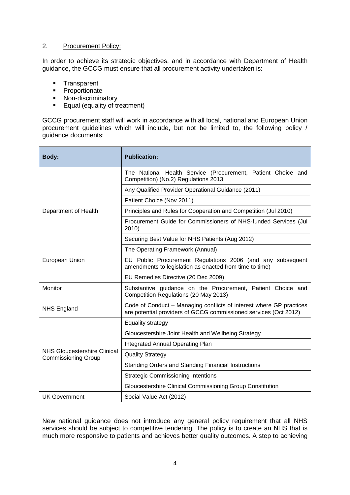#### 2. Procurement Policy:

In order to achieve its strategic objectives, and in accordance with Department of Health guidance, the GCCG must ensure that all procurement activity undertaken is:

- **Transparent**
- **•** Proportionate
- Non-discriminatory
- **Equal (equality of treatment)**

GCCG procurement staff will work in accordance with all local, national and European Union procurement guidelines which will include, but not be limited to, the following policy / guidance documents:

| <b>Body:</b>                                               | <b>Publication:</b>                                                                                                                     |  |
|------------------------------------------------------------|-----------------------------------------------------------------------------------------------------------------------------------------|--|
|                                                            | The National Health Service (Procurement, Patient Choice and<br>Competition) (No.2) Regulations 2013                                    |  |
|                                                            | Any Qualified Provider Operational Guidance (2011)                                                                                      |  |
| Department of Health                                       | Patient Choice (Nov 2011)                                                                                                               |  |
|                                                            | Principles and Rules for Cooperation and Competition (Jul 2010)                                                                         |  |
|                                                            | Procurement Guide for Commissioners of NHS-funded Services (Jul<br>2010)                                                                |  |
|                                                            | Securing Best Value for NHS Patients (Aug 2012)                                                                                         |  |
|                                                            | The Operating Framework (Annual)                                                                                                        |  |
| European Union                                             | EU Public Procurement Regulations 2006 (and any subsequent<br>amendments to legislation as enacted from time to time)                   |  |
|                                                            | EU Remedies Directive (20 Dec 2009)                                                                                                     |  |
| Monitor                                                    | Substantive guidance on the Procurement, Patient Choice and<br>Competition Regulations (20 May 2013)                                    |  |
| <b>NHS England</b>                                         | Code of Conduct - Managing conflicts of interest where GP practices<br>are potential providers of GCCG commissioned services (Oct 2012) |  |
|                                                            | Equality strategy                                                                                                                       |  |
| NHS Gloucestershire Clinical<br><b>Commissioning Group</b> | Gloucestershire Joint Health and Wellbeing Strategy                                                                                     |  |
|                                                            | Integrated Annual Operating Plan                                                                                                        |  |
|                                                            | <b>Quality Strategy</b>                                                                                                                 |  |
|                                                            | Standing Orders and Standing Financial Instructions                                                                                     |  |
|                                                            | <b>Strategic Commissioning Intentions</b>                                                                                               |  |
|                                                            | Gloucestershire Clinical Commissioning Group Constitution                                                                               |  |
| <b>UK Government</b>                                       | Social Value Act (2012)                                                                                                                 |  |

New national guidance does not introduce any general policy requirement that all NHS services should be subject to competitive tendering. The policy is to create an NHS that is much more responsive to patients and achieves better quality outcomes. A step to achieving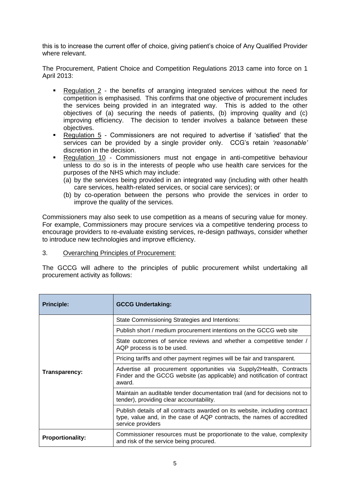this is to increase the current offer of choice, giving patient's choice of Any Qualified Provider where relevant.

The Procurement, Patient Choice and Competition Regulations 2013 came into force on 1 April 2013:

- Regulation 2 the benefits of arranging integrated services without the need for competition is emphasised. This confirms that one objective of procurement includes the services being provided in an integrated way. This is added to the other objectives of (a) securing the needs of patients, (b) improving quality and (c) improving efficiency. The decision to tender involves a balance between these objectives.
- Regulation 5 Commissioners are not required to advertise if 'satisfied' that the services can be provided by a single provider only. CCG's retain *'reasonable'* discretion in the decision.
- Regulation 10 Commissioners must not engage in anti-competitive behaviour unless to do so is in the interests of people who use health care services for the purposes of the NHS which may include:
	- (a) by the services being provided in an integrated way (including with other health care services, health-related services, or social care services); or
	- (b) by co-operation between the persons who provide the services in order to improve the quality of the services.

Commissioners may also seek to use competition as a means of securing value for money. For example, Commissioners may procure services via a competitive tendering process to encourage providers to re-evaluate existing services, re-design pathways, consider whether to introduce new technologies and improve efficiency.

#### 3. Overarching Principles of Procurement:

The GCCG will adhere to the principles of public procurement whilst undertaking all procurement activity as follows:

| <b>Principle:</b>       | <b>GCCG Undertaking:</b>                                                                                                                                                   |
|-------------------------|----------------------------------------------------------------------------------------------------------------------------------------------------------------------------|
| Transparency:           | State Commissioning Strategies and Intentions:                                                                                                                             |
|                         | Publish short / medium procurement intentions on the GCCG web site                                                                                                         |
|                         | State outcomes of service reviews and whether a competitive tender /<br>AQP process is to be used.                                                                         |
|                         | Pricing tariffs and other payment regimes will be fair and transparent.                                                                                                    |
|                         | Advertise all procurement opportunities via Supply2Health, Contracts<br>Finder and the GCCG website (as applicable) and notification of contract<br>award.                 |
|                         | Maintain an auditable tender documentation trail (and for decisions not to<br>tender), providing clear accountability.                                                     |
|                         | Publish details of all contracts awarded on its website, including contract<br>type, value and, in the case of AQP contracts, the names of accredited<br>service providers |
| <b>Proportionality:</b> | Commissioner resources must be proportionate to the value, complexity<br>and risk of the service being procured.                                                           |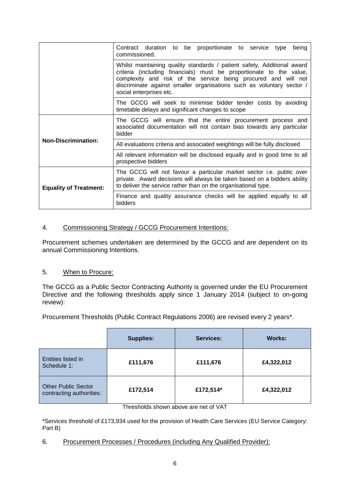|                                                                                                                                                                                                                                                                                                                      | Contract duration to be proportionate to service type<br>being<br>commissioned.                                                                                                                                           |
|----------------------------------------------------------------------------------------------------------------------------------------------------------------------------------------------------------------------------------------------------------------------------------------------------------------------|---------------------------------------------------------------------------------------------------------------------------------------------------------------------------------------------------------------------------|
| Whilst maintaining quality standards / patient safety, Additional award<br>criteria (including financials) must be proportionate to the value,<br>complexity and risk of the service being procured and will not<br>discriminate against smaller organisations such as voluntary sector /<br>social enterprises etc. |                                                                                                                                                                                                                           |
|                                                                                                                                                                                                                                                                                                                      | The GCCG will seek to minimise bidder tender costs by avoiding<br>timetable delays and significant changes to scope                                                                                                       |
| <b>Non-Discrimination:</b>                                                                                                                                                                                                                                                                                           | The GCCG will ensure that the entire procurement process and<br>associated documentation will not contain bias towards any particular<br>bidder                                                                           |
|                                                                                                                                                                                                                                                                                                                      | All evaluations criteria and associated weightings will be fully disclosed                                                                                                                                                |
|                                                                                                                                                                                                                                                                                                                      | All relevant information will be disclosed equally and in good time to all<br>prospective bidders                                                                                                                         |
| <b>Equality of Treatment:</b>                                                                                                                                                                                                                                                                                        | The GCCG will not favour a particular market sector <i>i.e.</i> public over<br>private. Award decisions will always be taken based on a bidders ability<br>to deliver the service rather than on the organisational type. |
|                                                                                                                                                                                                                                                                                                                      | Finance and quality assurance checks will be applied equally to all<br>bidders                                                                                                                                            |

#### 4. Commissioning Strategy / GCCG Procurement Intentions:

Procurement schemes undertaken are determined by the GCCG and are dependent on its annual Commissioning Intentions.

#### 5. When to Procure:

The GCCG as a Public Sector Contracting Authority is governed under the EU Procurement Directive and the following thresholds apply since 1 January 2014 (subject to on-going review):

Procurement Thresholds (Public Contract Regulations 2006) are revised every 2 years\*.

|                                                        | <b>Supplies:</b> | Services: | <b>Works:</b> |
|--------------------------------------------------------|------------------|-----------|---------------|
| Entities listed in<br>Schedule 1:                      | £111,676         | £111,676  | £4,322,012    |
| <b>Other Public Sector</b><br>contracting authorities: | £172,514         | £172,514* | £4,322,012    |

Thresholds shown above are net of VAT

\*Services threshold of £173,934 used for the provision of Health Care Services (EU Service Category: Part B)

6. Procurement Processes / Procedures (including Any Qualified Provider):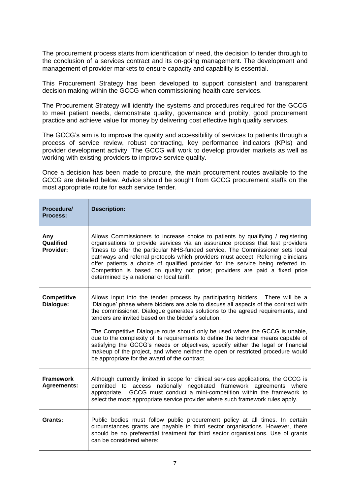The procurement process starts from identification of need, the decision to tender through to the conclusion of a services contract and its on-going management. The development and management of provider markets to ensure capacity and capability is essential.

This Procurement Strategy has been developed to support consistent and transparent decision making within the GCCG when commissioning health care services.

The Procurement Strategy will identify the systems and procedures required for the GCCG to meet patient needs, demonstrate quality, governance and probity, good procurement practice and achieve value for money by delivering cost effective high quality services.

The GCCG's aim is to improve the quality and accessibility of services to patients through a process of service review, robust contracting, key performance indicators (KPIs) and provider development activity. The GCCG will work to develop provider markets as well as working with existing providers to improve service quality.

Once a decision has been made to procure, the main procurement routes available to the GCCG are detailed below. Advice should be sought from GCCG procurement staffs on the most appropriate route for each service tender.

| Procedure/<br>Process:                 | <b>Description:</b>                                                                                                                                                                                                                                                                                                                                                                                                                                                                                                                                                                                                                                                                                          |
|----------------------------------------|--------------------------------------------------------------------------------------------------------------------------------------------------------------------------------------------------------------------------------------------------------------------------------------------------------------------------------------------------------------------------------------------------------------------------------------------------------------------------------------------------------------------------------------------------------------------------------------------------------------------------------------------------------------------------------------------------------------|
| Any<br>Qualified<br>Provider:          | Allows Commissioners to increase choice to patients by qualifying / registering<br>organisations to provide services via an assurance process that test providers<br>fitness to offer the particular NHS-funded service. The Commissioner sets local<br>pathways and referral protocols which providers must accept. Referring clinicians<br>offer patients a choice of qualified provider for the service being referred to.<br>Competition is based on quality not price; providers are paid a fixed price<br>determined by a national or local tariff.                                                                                                                                                    |
| <b>Competitive</b><br>Dialogue:        | Allows input into the tender process by participating bidders. There will be a<br>'Dialogue' phase where bidders are able to discuss all aspects of the contract with<br>the commissioner. Dialogue generates solutions to the agreed requirements, and<br>tenders are invited based on the bidder's solution.<br>The Competitive Dialogue route should only be used where the GCCG is unable,<br>due to the complexity of its requirements to define the technical means capable of<br>satisfying the GCCG's needs or objectives, specify either the legal or financial<br>makeup of the project, and where neither the open or restricted procedure would<br>be appropriate for the award of the contract. |
| <b>Framework</b><br><b>Agreements:</b> | Although currently limited in scope for clinical services applications, the GCCG is<br>permitted to access nationally negotiated framework agreements where<br>GCCG must conduct a mini-competition within the framework to<br>appropriate.<br>select the most appropriate service provider where such framework rules apply.                                                                                                                                                                                                                                                                                                                                                                                |
| Grants:                                | Public bodies must follow public procurement policy at all times. In certain<br>circumstances grants are payable to third sector organisations. However, there<br>should be no preferential treatment for third sector organisations. Use of grants<br>can be considered where:                                                                                                                                                                                                                                                                                                                                                                                                                              |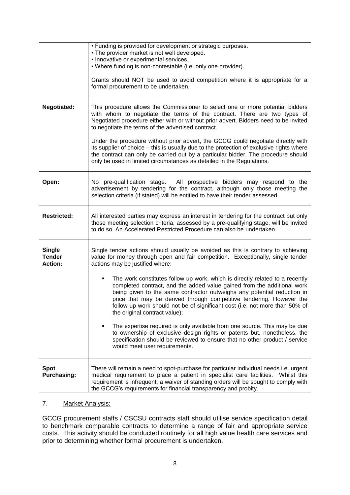|                                                  | • Funding is provided for development or strategic purposes.<br>• The provider market is not well developed.<br>• Innovative or experimental services.<br>. Where funding is non-contestable (i.e. only one provider).<br>Grants should NOT be used to avoid competition where it is appropriate for a<br>formal procurement to be undertaken.                                                                                                                                                                                                                                                                                                                                                                                                                                                                                                                                                                    |
|--------------------------------------------------|-------------------------------------------------------------------------------------------------------------------------------------------------------------------------------------------------------------------------------------------------------------------------------------------------------------------------------------------------------------------------------------------------------------------------------------------------------------------------------------------------------------------------------------------------------------------------------------------------------------------------------------------------------------------------------------------------------------------------------------------------------------------------------------------------------------------------------------------------------------------------------------------------------------------|
| <b>Negotiated:</b>                               | This procedure allows the Commissioner to select one or more potential bidders<br>with whom to negotiate the terms of the contract. There are two types of<br>Negotiated procedure either with or without prior advert. Bidders need to be invited<br>to negotiate the terms of the advertised contract.<br>Under the procedure without prior advert, the GCCG could negotiate directly with<br>its supplier of choice – this is usually due to the protection of exclusive rights where<br>the contract can only be carried out by a particular bidder. The procedure should<br>only be used in limited circumstances as detailed in the Regulations.                                                                                                                                                                                                                                                            |
| Open:                                            | No pre-qualification stage. All prospective bidders may respond to the<br>advertisement by tendering for the contract, although only those meeting the<br>selection criteria (if stated) will be entitled to have their tender assessed.                                                                                                                                                                                                                                                                                                                                                                                                                                                                                                                                                                                                                                                                          |
| <b>Restricted:</b>                               | All interested parties may express an interest in tendering for the contract but only<br>those meeting selection criteria, assessed by a pre-qualifying stage, will be invited<br>to do so. An Accelerated Restricted Procedure can also be undertaken.                                                                                                                                                                                                                                                                                                                                                                                                                                                                                                                                                                                                                                                           |
| <b>Single</b><br><b>Tender</b><br><b>Action:</b> | Single tender actions should usually be avoided as this is contrary to achieving<br>value for money through open and fair competition. Exceptionally, single tender<br>actions may be justified where:<br>The work constitutes follow up work, which is directly related to a recently<br>completed contract, and the added value gained from the additional work<br>being given to the same contractor outweighs any potential reduction in<br>price that may be derived through competitive tendering. However the<br>follow up work should not be of significant cost (i.e. not more than 50% of<br>the original contract value);<br>The expertise required is only available from one source. This may be due<br>٠<br>to ownership of exclusive design rights or patents but, nonetheless, the<br>specification should be reviewed to ensure that no other product / service<br>would meet user requirements. |
| <b>Spot</b><br><b>Purchasing:</b>                | There will remain a need to spot-purchase for particular individual needs i.e. urgent<br>medical requirement to place a patient in specialist care facilities. Whilst this<br>requirement is infrequent, a waiver of standing orders will be sought to comply with<br>the GCCG's requirements for financial transparency and probity.                                                                                                                                                                                                                                                                                                                                                                                                                                                                                                                                                                             |

#### 7. Market Analysis:

GCCG procurement staffs / CSCSU contracts staff should utilise service specification detail to benchmark comparable contracts to determine a range of fair and appropriate service costs. This activity should be conducted routinely for all high value health care services and prior to determining whether formal procurement is undertaken.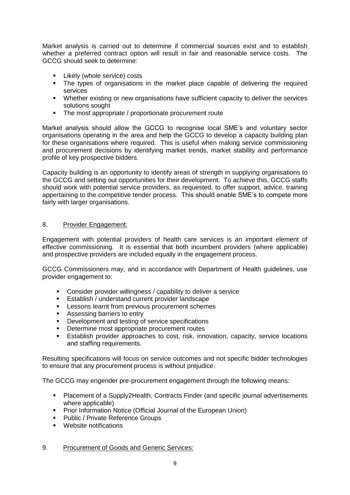Market analysis is carried out to determine if commercial sources exist and to establish whether a preferred contract option will result in fair and reasonable service costs. The GCCG should seek to determine:

- Likely (whole service) costs
- The types of organisations in the market place capable of delivering the required services
- **Whether existing or new organisations have sufficient capacity to deliver the services** solutions sought
- The most appropriate / proportionate procurement route

Market analysis should allow the GCCG to recognise local SME's and voluntary sector organisations operating in the area and help the GCCG to develop a capacity building plan for these organisations where required. This is useful when making service commissioning and procurement decisions by identifying market trends, market stability and performance profile of key prospective bidders.

Capacity building is an opportunity to identify areas of strength in supplying organisations to the GCCG and setting out opportunities for their development. To achieve this, GCCG staffs should work with potential service providers, as requested, to offer support, advice, training appertaining to the competitive tender process. This should enable SME's to compete more fairly with larger organisations.

#### 8. Provider Engagement:

Engagement with potential providers of health care services is an important element of effective commissioning. It is essential that both incumbent providers (where applicable) and prospective providers are included equally in the engagement process.

GCCG Commissioners may, and in accordance with Department of Health guidelines, use provider engagement to:

- Consider provider willingness / capability to deliver a service
- **Establish / understand current provider landscape**
- **Lessons learnt from previous procurement schemes**
- **Assessing barriers to entry**
- Development and testing of service specifications
- Determine most appropriate procurement routes
- Establish provider approaches to cost, risk, innovation, capacity, service locations and staffing requirements.

Resulting specifications will focus on service outcomes and not specific bidder technologies to ensure that any procurement process is without prejudice.

The GCCG may engender pre-procurement engagement through the following means:

- Placement of a Supply2Health, Contracts Finder (and specific journal advertisements where applicable)
- **Prior Information Notice (Official Journal of the European Union)**
- Public / Private Reference Groups
- Website notifications

#### 9. Procurement of Goods and Generic Services: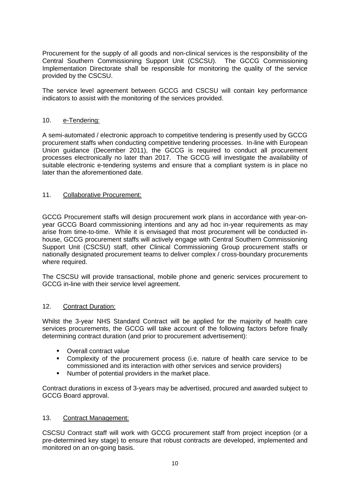Procurement for the supply of all goods and non-clinical services is the responsibility of the Central Southern Commissioning Support Unit (CSCSU). The GCCG Commissioning Implementation Directorate shall be responsible for monitoring the quality of the service provided by the CSCSU.

The service level agreement between GCCG and CSCSU will contain key performance indicators to assist with the monitoring of the services provided.

#### 10. e-Tendering:

A semi-automated / electronic approach to competitive tendering is presently used by GCCG procurement staffs when conducting competitive tendering processes. In-line with European Union guidance (December 2011), the GCCG is required to conduct all procurement processes electronically no later than 2017. The GCCG will investigate the availability of suitable electronic e-tendering systems and ensure that a compliant system is in place no later than the aforementioned date.

#### 11. Collaborative Procurement:

GCCG Procurement staffs will design procurement work plans in accordance with year-onyear GCCG Board commissioning intentions and any ad hoc in-year requirements as may arise from time-to-time. While it is envisaged that most procurement will be conducted inhouse, GCCG procurement staffs will actively engage with Central Southern Commissioning Support Unit (CSCSU) staff, other Clinical Commissioning Group procurement staffs or nationally designated procurement teams to deliver complex / cross-boundary procurements where required.

The CSCSU will provide transactional, mobile phone and generic services procurement to GCCG in-line with their service level agreement.

#### 12. Contract Duration:

Whilst the 3-year NHS Standard Contract will be applied for the majority of health care services procurements, the GCCG will take account of the following factors before finally determining contract duration (and prior to procurement advertisement):

- **•** Overall contract value
- Complexity of the procurement process (i.e. nature of health care service to be commissioned and its interaction with other services and service providers)
- **Number of potential providers in the market place.**

Contract durations in excess of 3-years may be advertised, procured and awarded subject to GCCG Board approval.

#### 13. Contract Management:

CSCSU Contract staff will work with GCCG procurement staff from project inception (or a pre-determined key stage) to ensure that robust contracts are developed, implemented and monitored on an on-going basis.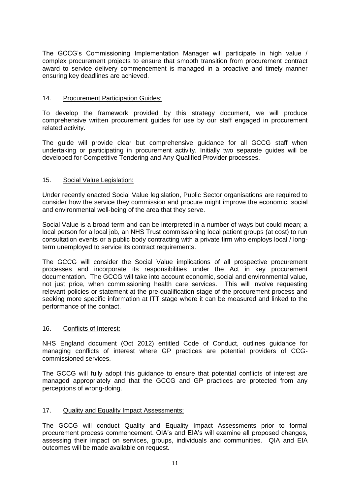The GCCG's Commissioning Implementation Manager will participate in high value / complex procurement projects to ensure that smooth transition from procurement contract award to service delivery commencement is managed in a proactive and timely manner ensuring key deadlines are achieved.

#### 14. Procurement Participation Guides:

To develop the framework provided by this strategy document, we will produce comprehensive written procurement guides for use by our staff engaged in procurement related activity.

The guide will provide clear but comprehensive guidance for all GCCG staff when undertaking or participating in procurement activity. Initially two separate guides will be developed for Competitive Tendering and Any Qualified Provider processes.

#### 15. Social Value Legislation:

Under recently enacted Social Value legislation, Public Sector organisations are required to consider how the service they commission and procure might improve the economic, social and environmental well-being of the area that they serve.

Social Value is a broad term and can be interpreted in a number of ways but could mean; a local person for a local job, an NHS Trust commissioning local patient groups (at cost) to run consultation events or a public body contracting with a private firm who employs local / longterm unemployed to service its contract requirements.

The GCCG will consider the Social Value implications of all prospective procurement processes and incorporate its responsibilities under the Act in key procurement documentation. The GCCG will take into account economic, social and environmental value, not just price, when commissioning health care services. This will involve requesting relevant policies or statement at the pre-qualification stage of the procurement process and seeking more specific information at ITT stage where it can be measured and linked to the performance of the contact.

#### 16. Conflicts of Interest:

NHS England document (Oct 2012) entitled Code of Conduct, outlines guidance for managing conflicts of interest where GP practices are potential providers of CCGcommissioned services.

The GCCG will fully adopt this guidance to ensure that potential conflicts of interest are managed appropriately and that the GCCG and GP practices are protected from any perceptions of wrong-doing.

#### 17. Quality and Equality Impact Assessments:

The GCCG will conduct Quality and Equality Impact Assessments prior to formal procurement process commencement. QIA's and EIA's will examine all proposed changes, assessing their impact on services, groups, individuals and communities. QIA and EIA outcomes will be made available on request.